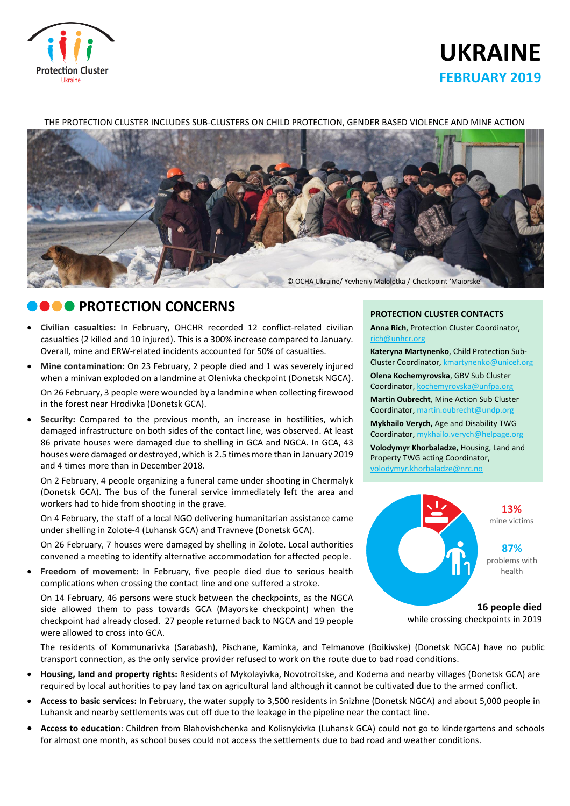

# **UKRAINE FEBRUARY 2019**

#### THE PROTECTION CLUSTER INCLUDES SUB-CLUSTERS ON CHILD PROTECTION, GENDER BASED VIOLENCE AND MINE ACTION



### **CONCERNS**

- **Civilian casualties:** In February, OHCHR recorded 12 conflict-related civilian casualties (2 killed and 10 injured). This is a 300% increase compared to January. Overall, mine and ERW-related incidents accounted for 50% of casualties.
- **Mine contamination:** On 23 February, 2 people died and 1 was severely injured when a minivan exploded on a landmine at Olenivka checkpoint (Donetsk NGCA). On 26 February, 3 people were wounded by a landmine when collecting firewood in the forest near Hrodivka (Donetsk GCA).
- **Security:** Compared to the previous month, an increase in hostilities, which damaged infrastructure on both sides of the contact line, was observed. At least 86 private houses were damaged due to shelling in GCA and NGCA. In GCA, 43 houses were damaged or destroyed, which is 2.5 times more than in January 2019 and 4 times more than in December 2018.

On 2 February, 4 people organizing a funeral came under shooting in Chermalyk (Donetsk GCA). The bus of the funeral service immediately left the area and workers had to hide from shooting in the grave.

On 4 February, the staff of a local NGO delivering humanitarian assistance came under shelling in Zolote-4 (Luhansk GCA) and Travneve (Donetsk GCA).

On 26 February, 7 houses were damaged by shelling in Zolote. Local authorities convened a meeting to identify alternative accommodation for affected people.

 **Freedom of movement:** In February, five people died due to serious health complications when crossing the contact line and one suffered a stroke.

On 14 February, 46 persons were stuck between the checkpoints, as the NGCA side allowed them to pass towards GCA (Mayorske checkpoint) when the checkpoint had already closed. 27 people returned back to NGCA and 19 people were allowed to cross into GCA.

#### **PROTECTION CLUSTER CONTACTS**

**Anna Rich**, Protection Cluster Coordinator, [rich@unhcr.org](mailto:rich@unhcr.org)

**Kateryna Martynenko**, Child Protection Sub-Cluster Coordinator, kmartynenko@unicef.org

**Olena Kochemyrovska**, GBV Sub Cluster Coordinator, [kochemyrovska@unfpa.org](mailto:kristesashvili@unfpa.org)

**Martin Oubrecht**, Mine Action Sub Cluster Coordinator, [martin.oubrecht@undp.org](mailto:martin.oubrecht@undp.org)

**Mykhailo Verych,** Age and Disability TWG Coordinator, [mykhailo.verych@helpage.org](mailto:mykhailo.verych@helpage.org)

**Volodymyr Khorbaladze,** Housing, Land and Property TWG acting Coordinator, [volodymyr.khorbaladze@nrc.no](mailto:volodymyr.khorbaladze@nrc.no)



**16 people died** while crossing checkpoints in 2019

The residents of Kommunarivka (Sarabash), Pischane, Kaminka, and Telmanove (Boikivske) (Donetsk NGCA) have no public transport connection, as the only service provider refused to work on the route due to bad road conditions.

- **Housing, land and property rights:** Residents of Mykolayivka, Novotroitske, and Kodema and nearby villages (Donetsk GCA) are required by local authorities to pay land tax on agricultural land although it cannot be cultivated due to the armed conflict.
- **Access to basic services:** In February, the water supply to 3,500 residents in Snizhne (Donetsk NGCA) and about 5,000 people in Luhansk and nearby settlements was cut off due to the leakage in the pipeline near the contact line.
- **Access to education**: Children from Blahovishchenka and Kolisnykivka (Luhansk GCA) could not go to kindergartens and schools for almost one month, as school buses could not access the settlements due to bad road and weather conditions.